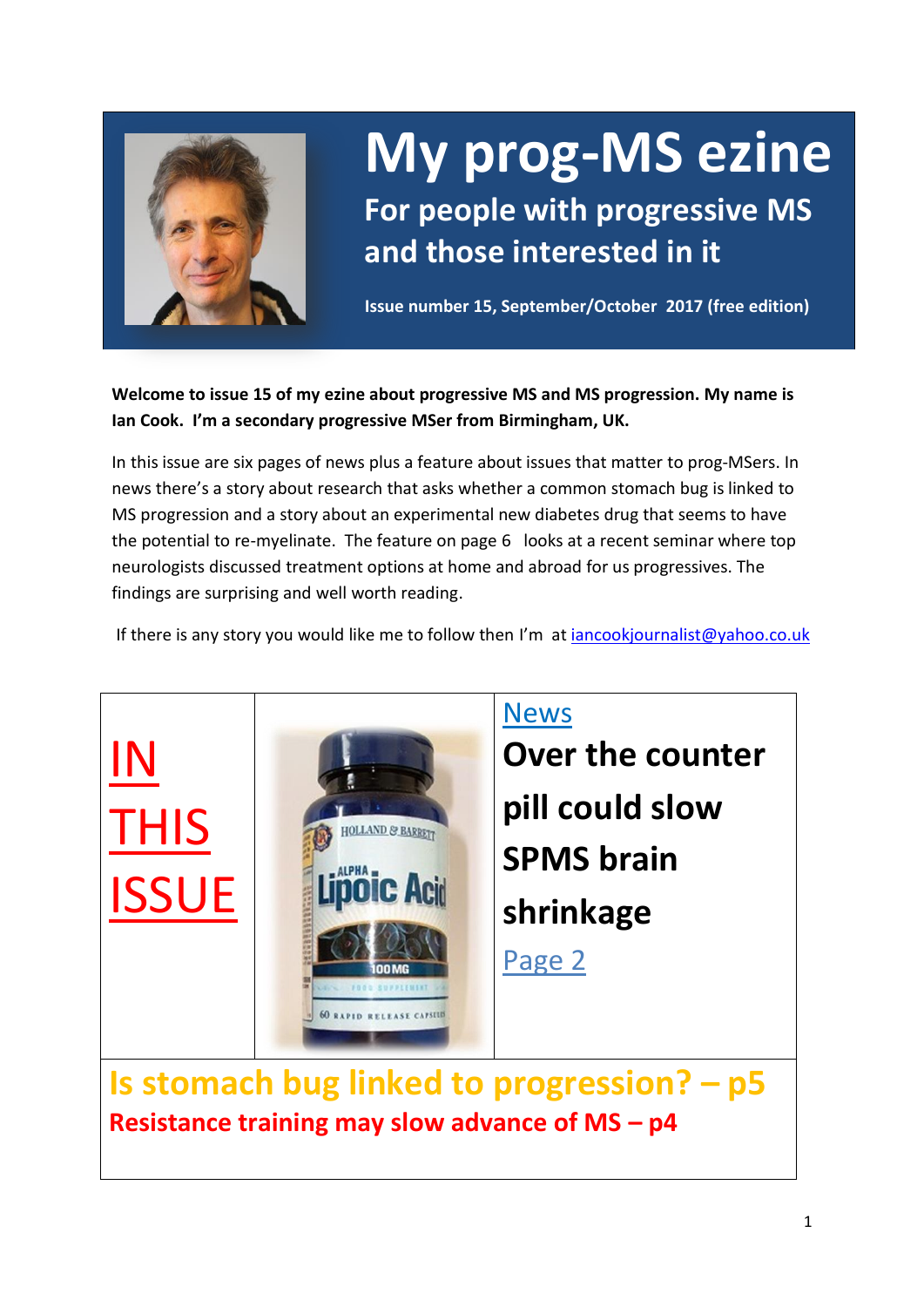

## **My prog-MS ezine For people with progressive MS and those interested in it**

**Issue number 15, September/October 2017 (free edition)**

**Welcome to issue 15 of my ezine about progressive MS and MS progression. My name is Ian Cook. I'm a secondary progressive MSer from Birmingham, UK.** 

In this issue are six pages of news plus a feature about issues that matter to prog-MSers. In news there's a story about research that asks whether a common stomach bug is linked to MS progression and a story about an experimental new diabetes drug that seems to have the potential to re-myelinate. The feature on page 6 looks at a recent seminar where top neurologists discussed treatment options at home and abroad for us progressives. The findings are surprising and well worth reading.

If there is any story you would like me to follow then I'm a[t iancookjournalist@yahoo.co.uk](mailto:iancookjournalist@yahoo.co.uk)



**Resistance training may slow advance of MS – p4**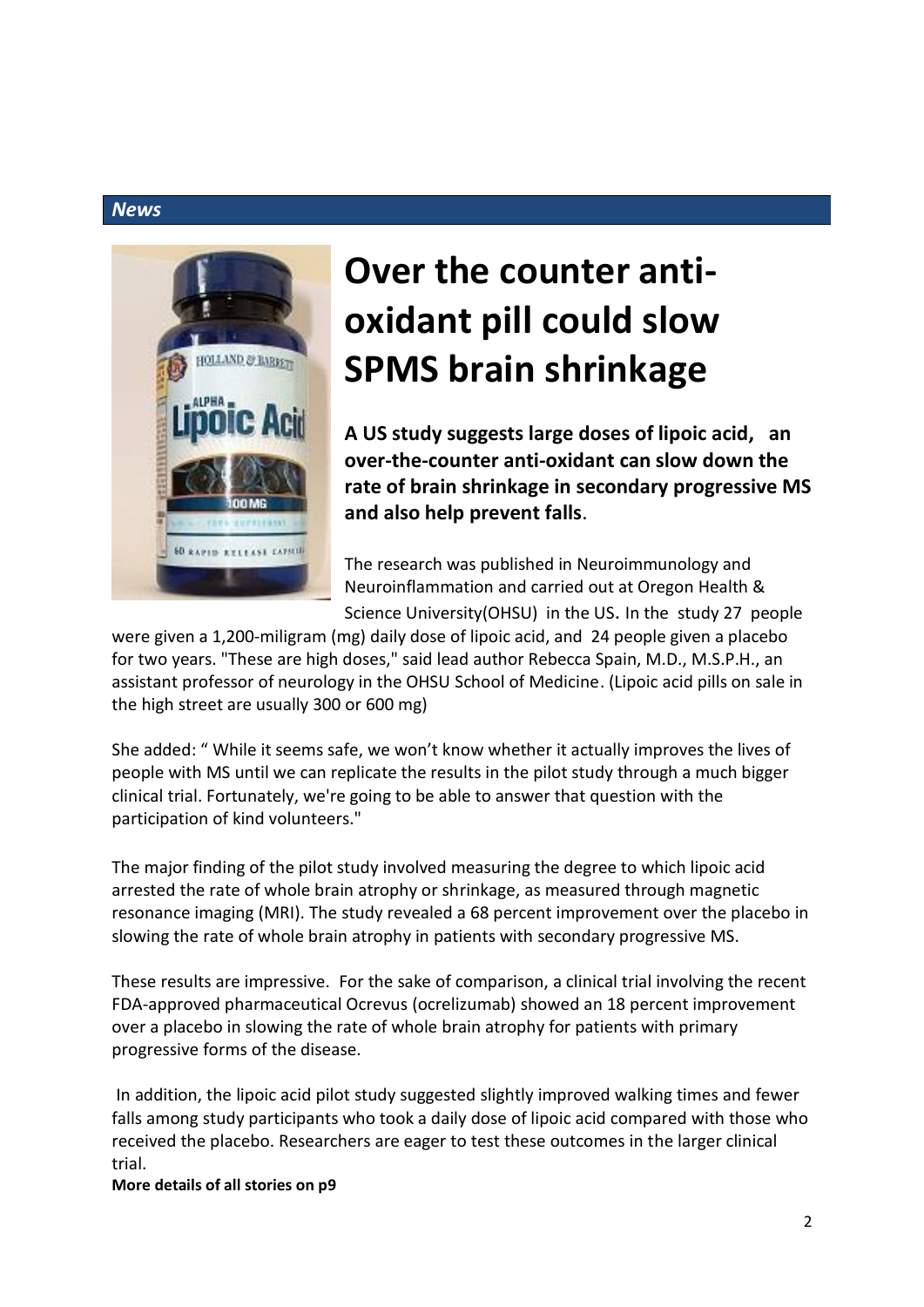![](_page_1_Picture_1.jpeg)

## **Over the counter antioxidant pill could slow SPMS brain shrinkage**

**A US study suggests large doses of lipoic acid, an over-the-counter anti-oxidant can slow down the rate of brain shrinkage in secondary progressive MS and also help prevent falls**.

The research was published in Neuroimmunology and Neuroinflammation and carried out at Oregon Health & Science University(OHSU) in the US. In the study 27 people

were given a 1,200-miligram (mg) daily dose of lipoic acid, and 24 people given a placebo for two years. "These are high doses," said lead author Rebecca Spain, M.D., M.S.P.H., an assistant professor of neurology in the OHSU School of Medicine. (Lipoic acid pills on sale in the high street are usually 300 or 600 mg)

She added: " While it seems safe, we won't know whether it actually improves the lives of people with MS until we can replicate the results in the pilot study through a much bigger clinical trial. Fortunately, we're going to be able to answer that question with the participation of kind volunteers."

The major finding of the pilot study involved measuring the degree to which lipoic acid arrested the rate of whole brain atrophy or shrinkage, as measured through magnetic resonance imaging (MRI). The study revealed a 68 percent improvement over the placebo in slowing the rate of whole brain atrophy in patients with secondary progressive MS.

These results are impressive. For the sake of comparison, a clinical trial involving the recent FDA-approved pharmaceutical Ocrevus (ocrelizumab) showed an 18 percent improvement over a placebo in slowing the rate of whole brain atrophy for patients with primary progressive forms of the disease.

In addition, the lipoic acid pilot study suggested slightly improved walking times and fewer falls among study participants who took a daily dose of lipoic acid compared with those who received the placebo. Researchers are eager to test these outcomes in the larger clinical trial.

**More details of all stories on p9**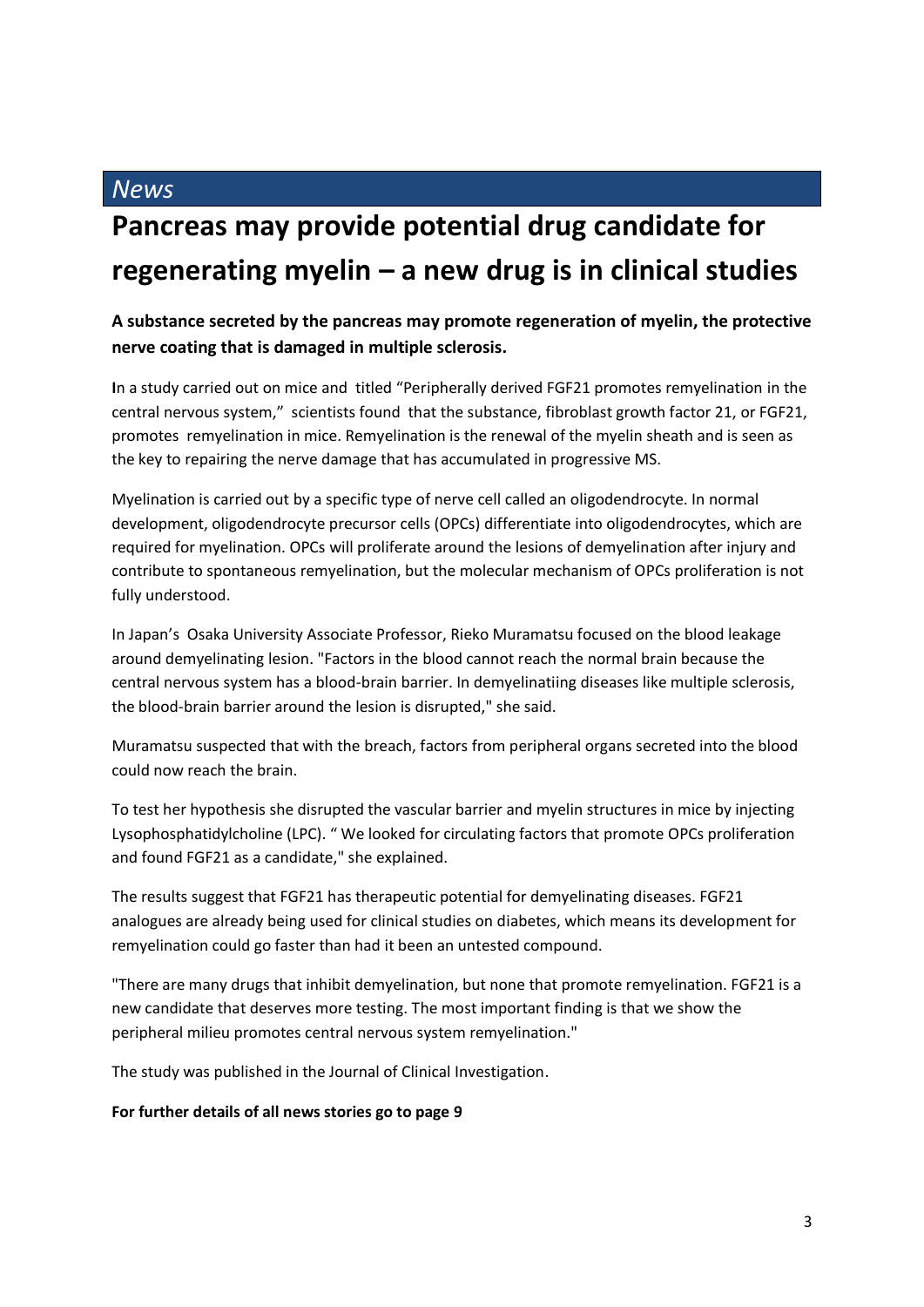## **Pancreas may provide potential drug candidate for regenerating myelin – a new drug is in clinical studies**

#### **A substance secreted by the pancreas may promote regeneration of myelin, the protective nerve coating that is damaged in multiple sclerosis.**

**I**n a study carried out on mice and titled "Peripherally derived FGF21 promotes remyelination in the central nervous system," scientists found that the substance, fibroblast growth factor 21, or FGF21, promotes remyelination in mice. Remyelination is the renewal of the myelin sheath and is seen as the key to repairing the nerve damage that has accumulated in progressive MS.

Myelination is carried out by a specific type of nerve cell called an oligodendrocyte. In normal development, oligodendrocyte precursor cells (OPCs) differentiate into oligodendrocytes, which are required for myelination. OPCs will proliferate around the lesions of demyelination after injury and contribute to spontaneous remyelination, but the molecular mechanism of OPCs proliferation is not fully understood.

In Japan's Osaka University Associate Professor, Rieko Muramatsu focused on the blood leakage around demyelinating lesion. "Factors in the blood cannot reach the normal brain because the central nervous system has a blood-brain barrier. In demyelinatiing diseases like multiple sclerosis, the blood-brain barrier around the lesion is disrupted," she said.

Muramatsu suspected that with the breach, factors from peripheral organs secreted into the blood could now reach the brain.

To test her hypothesis she disrupted the vascular barrier and myelin structures in mice by injecting Lysophosphatidylcholine (LPC). " We looked for circulating factors that promote OPCs proliferation and found FGF21 as a candidate," she explained.

The results suggest that FGF21 has therapeutic potential for demyelinating diseases. FGF21 analogues are already being used for clinical studies on diabetes, which means its development for remyelination could go faster than had it been an untested compound.

"There are many drugs that inhibit demyelination, but none that promote remyelination. FGF21 is a new candidate that deserves more testing. The most important finding is that we show the peripheral milieu promotes central nervous system remyelination."

The study was published in the Journal of Clinical Investigation.

#### **For further details of all news stories go to page 9**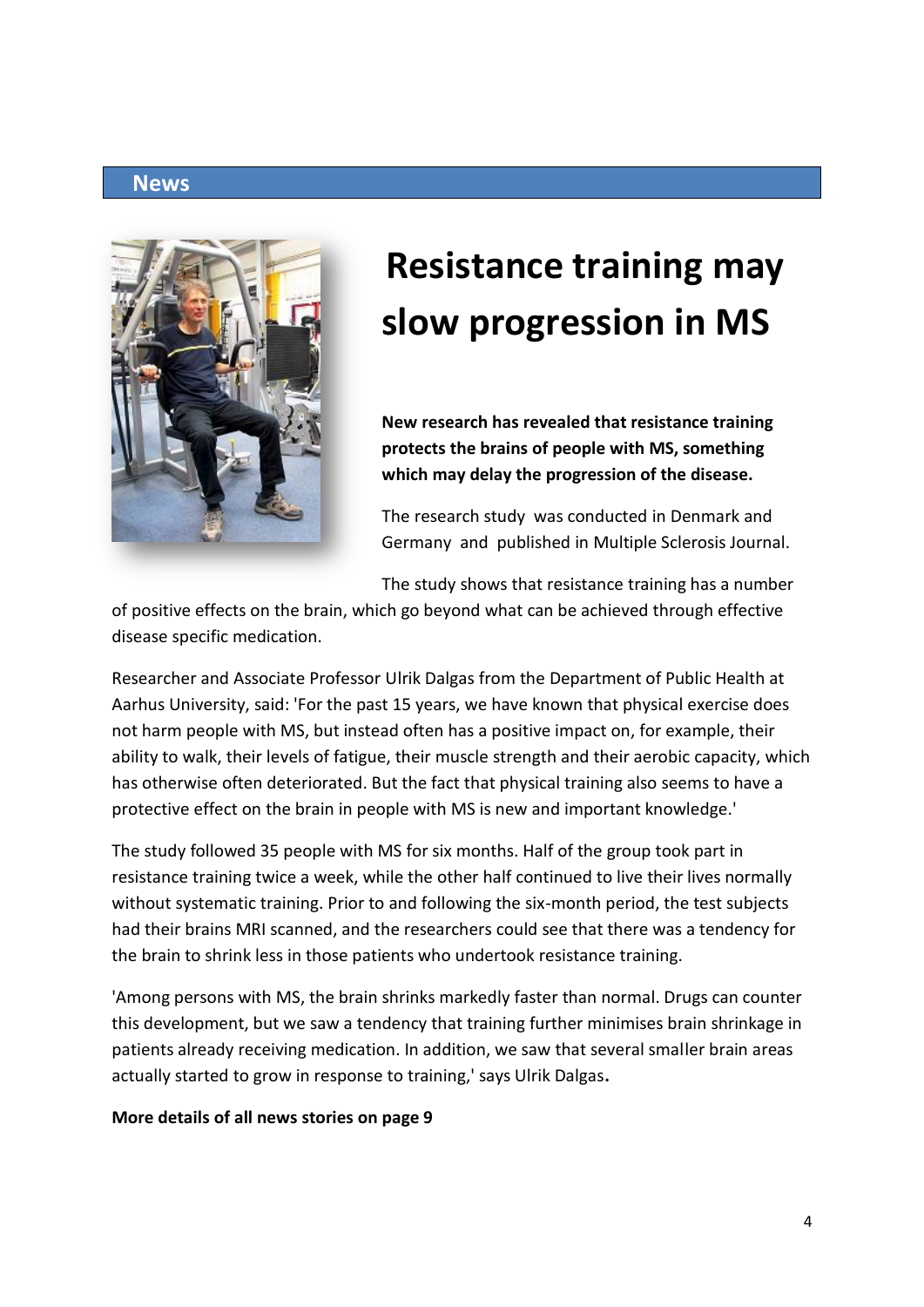![](_page_3_Picture_1.jpeg)

# **Resistance training may slow progression in MS**

**New research has revealed that resistance training protects the brains of people with MS, something which may delay the progression of the disease.**

The research study was conducted in Denmark and Germany and published in Multiple Sclerosis Journal.

The study shows that resistance training has a number

of positive effects on the brain, which go beyond what can be achieved through effective disease specific medication.

Researcher and Associate Professor Ulrik Dalgas from the Department of Public Health at Aarhus University, said: 'For the past 15 years, we have known that physical exercise does not harm people with MS, but instead often has a positive impact on, for example, their ability to walk, their levels of fatigue, their muscle strength and their aerobic capacity, which has otherwise often deteriorated. But the fact that physical training also seems to have a protective effect on the brain in people with MS is new and important knowledge.'

The study followed 35 people with MS for six months. Half of the group took part in resistance training twice a week, while the other half continued to live their lives normally without systematic training. Prior to and following the six-month period, the test subjects had their brains MRI scanned, and the researchers could see that there was a tendency for the brain to shrink less in those patients who undertook resistance training.

'Among persons with MS, the brain shrinks markedly faster than normal. Drugs can counter this development, but we saw a tendency that training further minimises brain shrinkage in patients already receiving medication. In addition, we saw that several smaller brain areas actually started to grow in response to training,' says Ulrik Dalgas**.**

#### **More details of all news stories on page 9**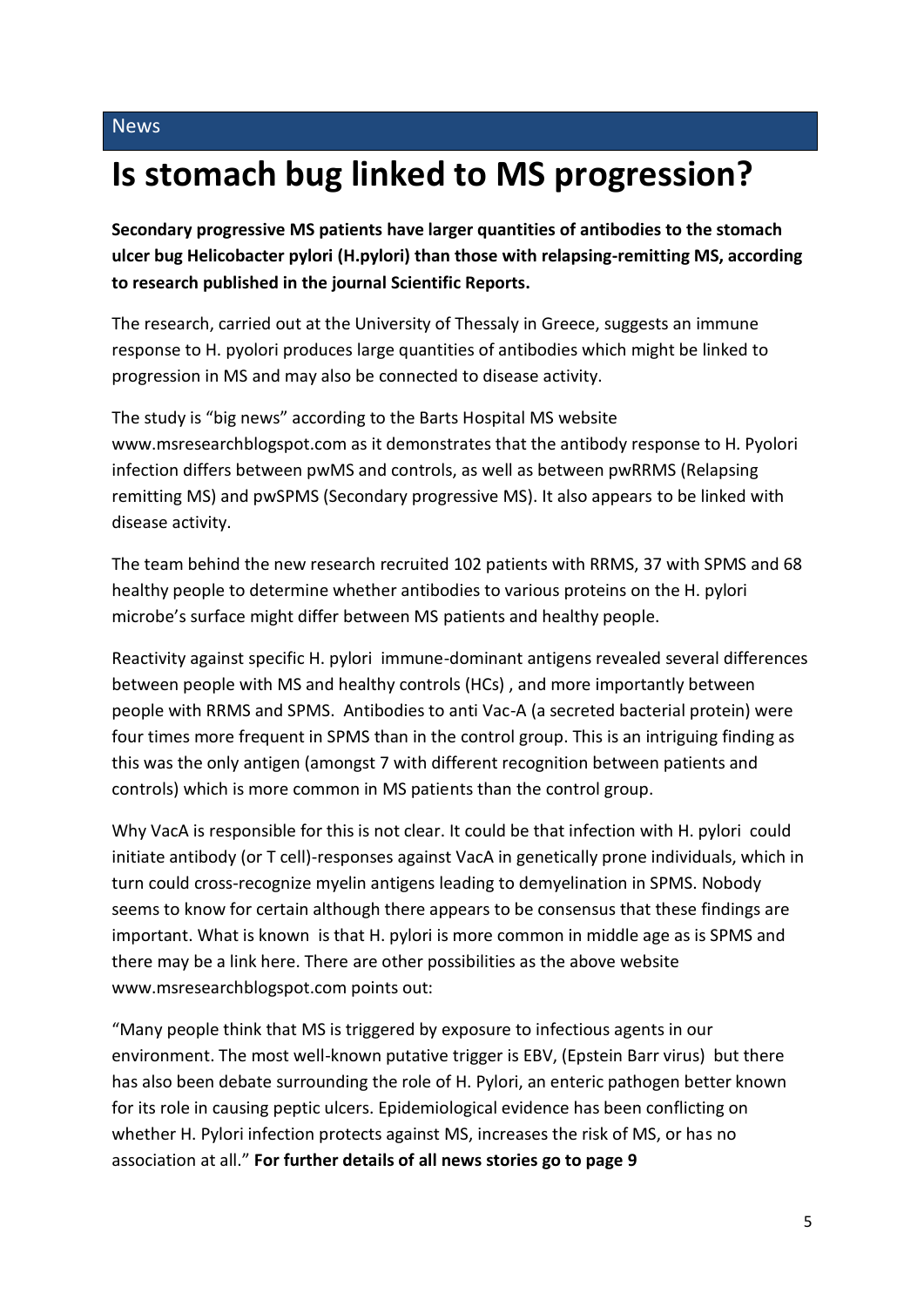## **Is stomach bug linked to MS progression?**

**Secondary progressive MS patients have larger quantities of antibodies to the stomach ulcer bug Helicobacter pylori (H.pylori) than those with relapsing-remitting MS, according to research published in the journal Scientific Reports.** 

The research, carried out at the University of Thessaly in Greece, suggests an immune response to H. pyolori produces large quantities of antibodies which might be linked to progression in MS and may also be connected to disease activity.

The study is "big news" according to the Barts Hospital MS website www.msresearchblogspot.com as it demonstrates that the antibody response to H. Pyolori infection differs between pwMS and controls, as well as between pwRRMS (Relapsing remitting MS) and pwSPMS (Secondary progressive MS). It also appears to be linked with disease activity.

The team behind the new research recruited 102 patients with RRMS, 37 with SPMS and 68 healthy people to determine whether antibodies to various proteins on the H. pylori microbe's surface might differ between MS patients and healthy people.

Reactivity against specific H. pylori immune-dominant antigens revealed several differences between people with MS and healthy controls (HCs) , and more importantly between people with RRMS and SPMS. Antibodies to anti Vac-A (a secreted bacterial protein) were four times more frequent in SPMS than in the control group. This is an intriguing finding as this was the only antigen (amongst 7 with different recognition between patients and controls) which is more common in MS patients than the control group.

Why VacA is responsible for this is not clear. It could be that infection with H. pylori could initiate antibody (or T cell)-responses against VacA in genetically prone individuals, which in turn could cross-recognize myelin antigens leading to demyelination in SPMS. Nobody seems to know for certain although there appears to be consensus that these findings are important. What is known is that H. pylori is more common in middle age as is SPMS and there may be a link here. There are other possibilities as the above website www.msresearchblogspot.com points out:

"Many people think that MS is triggered by exposure to infectious agents in our environment. The most well-known putative trigger is EBV, (Epstein Barr virus) but there has also been debate surrounding the role of H. Pylori, an enteric pathogen better known for its role in causing peptic ulcers. Epidemiological evidence has been conflicting on whether H. Pylori infection protects against MS, increases the risk of MS, or has no association at all." **For further details of all news stories go to page 9**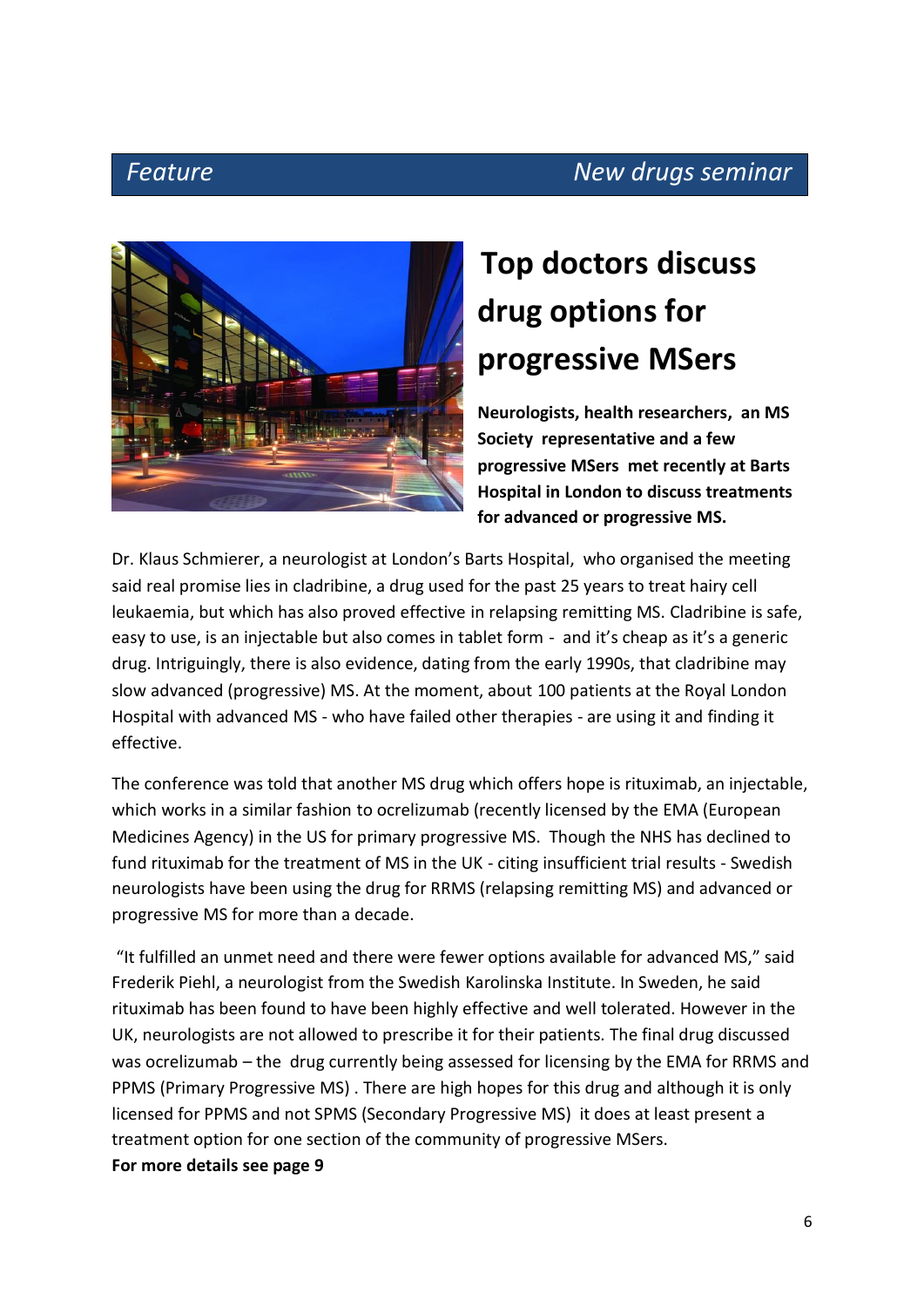### **Feature Community Community Seminar Pressure Community Community Community Community Community Community Community**

![](_page_5_Picture_2.jpeg)

## **Top doctors discuss drug options for progressive MSers**

**Neurologists, health researchers, an MS Society representative and a few progressive MSers met recently at Barts Hospital in London to discuss treatments for advanced or progressive MS.**

Dr. Klaus Schmierer, a neurologist at London's Barts Hospital, who organised the meeting said real promise lies in cladribine, a drug used for the past 25 years to treat hairy cell leukaemia, but which has also proved effective in relapsing remitting MS. Cladribine is safe, easy to use, is an injectable but also comes in tablet form - and it's cheap as it's a generic drug. Intriguingly, there is also evidence, dating from the early 1990s, that cladribine may slow advanced (progressive) MS. At the moment, about 100 patients at the Royal London Hospital with advanced MS - who have failed other therapies - are using it and finding it effective.

The conference was told that another MS drug which offers hope is rituximab, an injectable, which works in a similar fashion to ocrelizumab (recently licensed by the EMA (European Medicines Agency) in the US for primary progressive MS. Though the NHS has declined to fund rituximab for the treatment of MS in the UK - citing insufficient trial results - Swedish neurologists have been using the drug for RRMS (relapsing remitting MS) and advanced or progressive MS for more than a decade.

"It fulfilled an unmet need and there were fewer options available for advanced MS," said Frederik Piehl, a neurologist from the Swedish Karolinska Institute. In Sweden, he said rituximab has been found to have been highly effective and well tolerated. However in the UK, neurologists are not allowed to prescribe it for their patients. The final drug discussed was ocrelizumab – the drug currently being assessed for licensing by the EMA for RRMS and PPMS (Primary Progressive MS) . There are high hopes for this drug and although it is only licensed for PPMS and not SPMS (Secondary Progressive MS) it does at least present a treatment option for one section of the community of progressive MSers. **For more details see page 9**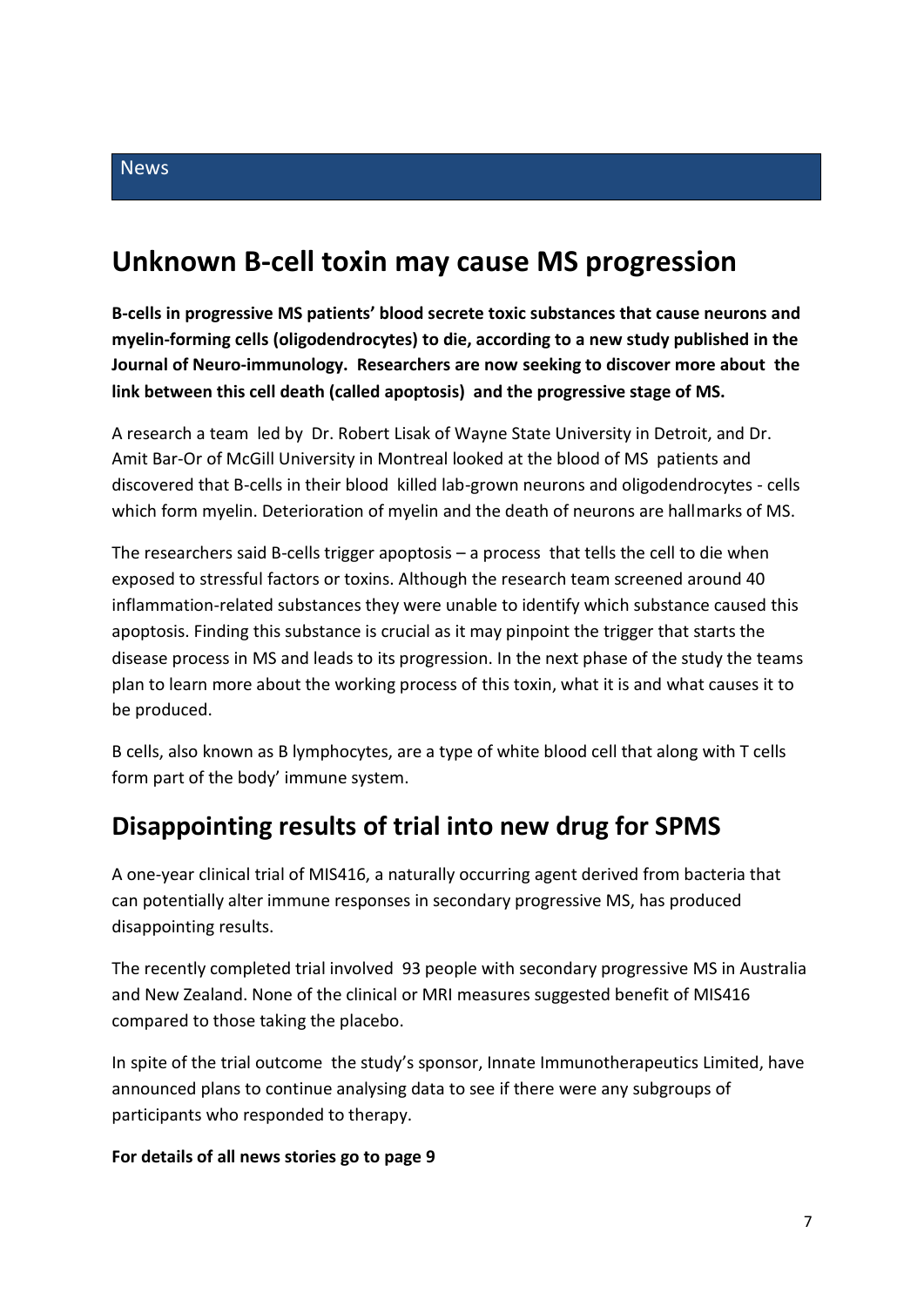### **Unknown B-cell toxin may cause MS progression**

**B-cells in progressive MS patients' blood secrete toxic substances that cause neurons and myelin-forming cells (oligodendrocytes) to die, according to a new study published in the Journal of Neuro-immunology. Researchers are now seeking to discover more about the link between this cell death (called apoptosis) and the progressive stage of MS.**

A research a team led by Dr. Robert Lisak of Wayne State University in Detroit, and Dr. Amit Bar-Or of McGill University in Montreal looked at the blood of MS patients and discovered that B-cells in their blood killed lab-grown neurons and oligodendrocytes - cells which form myelin. Deterioration of myelin and the death of neurons are hallmarks of MS.

The researchers said B-cells trigger apoptosis – a process that tells the cell to die when exposed to stressful factors or toxins. Although the research team screened around 40 inflammation-related substances they were unable to identify which substance caused this apoptosis. Finding this substance is crucial as it may pinpoint the trigger that starts the disease process in MS and leads to its progression. In the next phase of the study the teams plan to learn more about the working process of this toxin, what it is and what causes it to be produced.

B cells, also known as B lymphocytes, are a type of white blood cell that along with T cells form part of the body' immune system.

### **Disappointing results of trial into new drug for SPMS**

A one-year clinical trial of MIS416, a naturally occurring agent derived from bacteria that can potentially alter immune responses in secondary progressive MS, has produced disappointing results.

The recently completed trial involved 93 people with secondary progressive MS in Australia and New Zealand. None of the clinical or MRI measures suggested benefit of MIS416 compared to those taking the placebo.

In spite of the trial outcome the study's sponsor, Innate Immunotherapeutics Limited, have announced plans to continue analysing data to see if there were any subgroups of participants who responded to therapy.

#### **For details of all news stories go to page 9**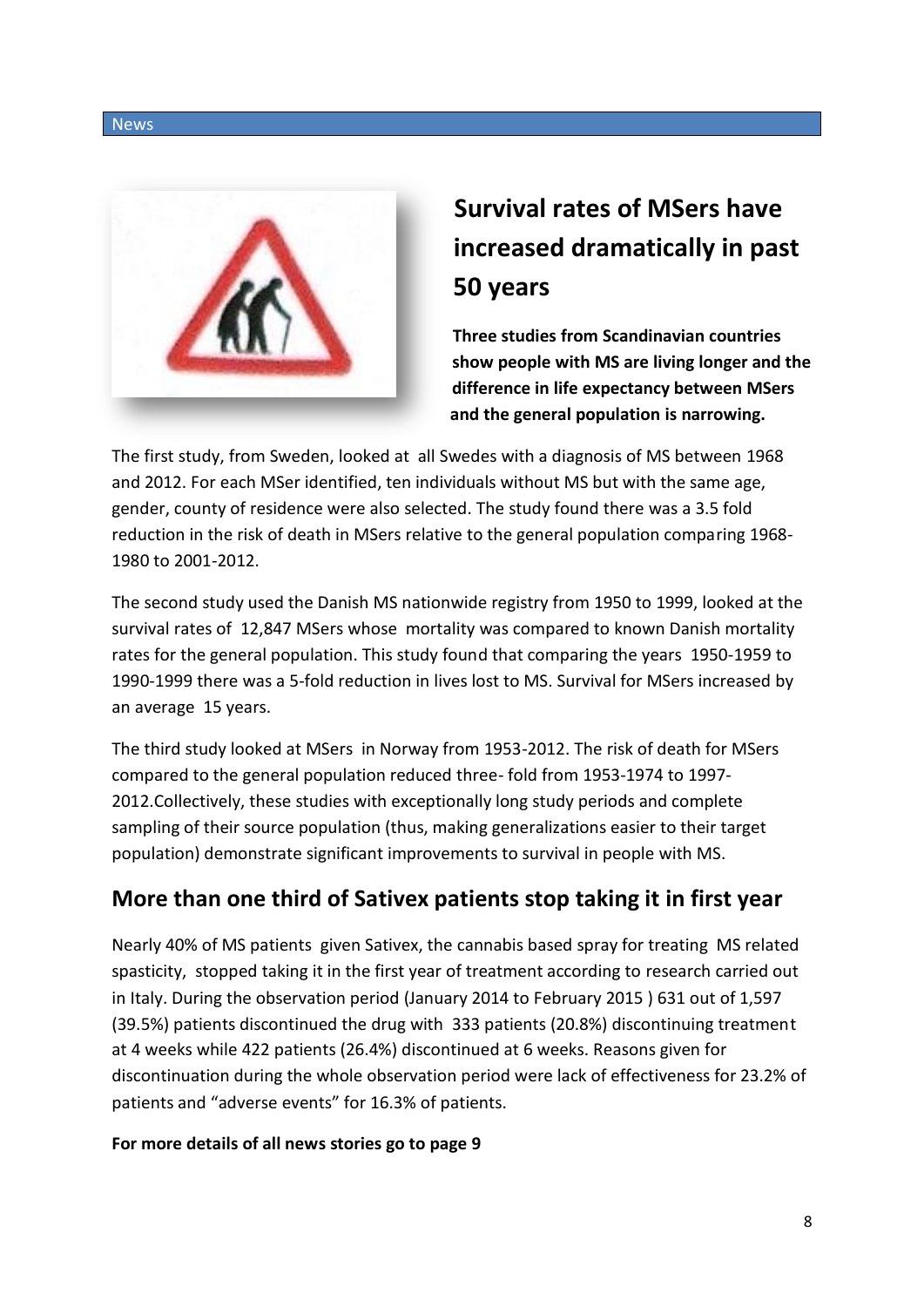![](_page_7_Picture_1.jpeg)

## **Survival rates of MSers have increased dramatically in past 50 years**

**Three studies from Scandinavian countries show people with MS are living longer and the difference in life expectancy between MSers and the general population is narrowing.**

The first study, from Sweden, looked at all Swedes with a diagnosis of MS between 1968 and 2012. For each MSer identified, ten individuals without MS but with the same age, gender, county of residence were also selected. The study found there was a 3.5 fold reduction in the risk of death in MSers relative to the general population comparing 1968- 1980 to 2001-2012.

The second study used the Danish MS nationwide registry from 1950 to 1999, looked at the survival rates of 12,847 MSers whose mortality was compared to known Danish mortality rates for the general population. This study found that comparing the years 1950-1959 to 1990-1999 there was a 5-fold reduction in lives lost to MS. Survival for MSers increased by an average 15 years.

The third study looked at MSers in Norway from 1953-2012. The risk of death for MSers compared to the general population reduced three- fold from 1953-1974 to 1997- 2012.Collectively, these studies with exceptionally long study periods and complete sampling of their source population (thus, making generalizations easier to their target population) demonstrate significant improvements to survival in people with MS.

### **More than one third of Sativex patients stop taking it in first year**

Nearly 40% of MS patients given Sativex, the cannabis based spray for treating MS related spasticity, stopped taking it in the first year of treatment according to research carried out in Italy. During the observation period (January 2014 to February 2015 ) 631 out of 1,597 (39.5%) patients discontinued the drug with 333 patients (20.8%) discontinuing treatment at 4 weeks while 422 patients (26.4%) discontinued at 6 weeks. Reasons given for discontinuation during the whole observation period were lack of effectiveness for 23.2% of patients and "adverse events" for 16.3% of patients.

#### **For more details of all news stories go to page 9**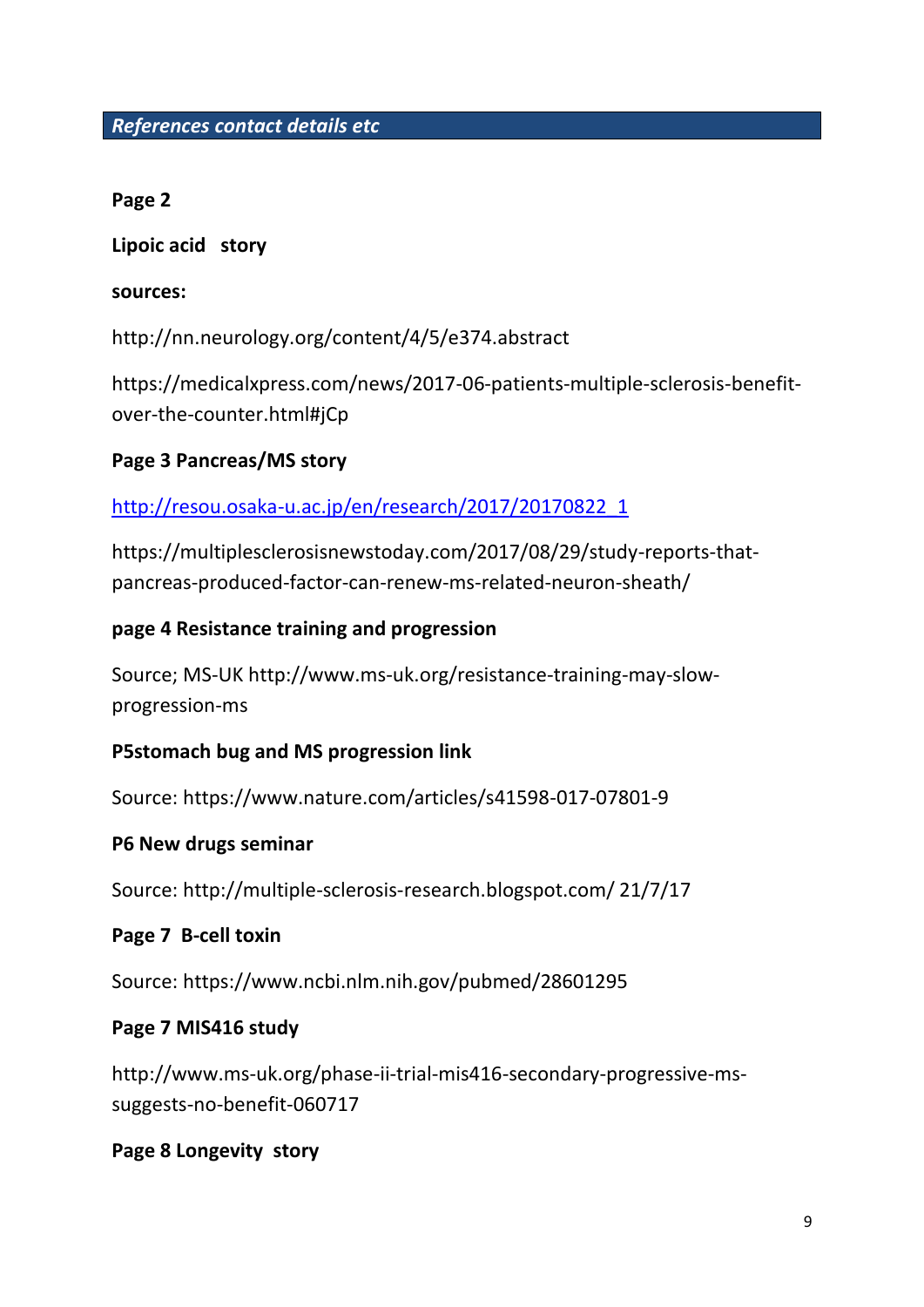#### *References contact details etc*

#### **Page 2**

**Lipoic acid story** 

#### **sources:**

http://nn.neurology.org/content/4/5/e374.abstract

https://medicalxpress.com/news/2017-06-patients-multiple-sclerosis-benefitover-the-counter.html#jCp

#### **Page 3 Pancreas/MS story**

### [http://resou.osaka-u.ac.jp/en/research/2017/20170822\\_1](http://resou.osaka-u.ac.jp/en/research/2017/20170822_1)

https://multiplesclerosisnewstoday.com/2017/08/29/study-reports-thatpancreas-produced-factor-can-renew-ms-related-neuron-sheath/

#### **page 4 Resistance training and progression**

Source; MS-UK http://www.ms-uk.org/resistance-training-may-slowprogression-ms

#### **P5stomach bug and MS progression link**

Source: https://www.nature.com/articles/s41598-017-07801-9

#### **P6 New drugs seminar**

Source: http://multiple-sclerosis-research.blogspot.com/ 21/7/17

#### **Page 7 B-cell toxin**

Source: https://www.ncbi.nlm.nih.gov/pubmed/28601295

#### **Page 7 MIS416 study**

http://www.ms-uk.org/phase-ii-trial-mis416-secondary-progressive-mssuggests-no-benefit-060717

#### **Page 8 Longevity story**